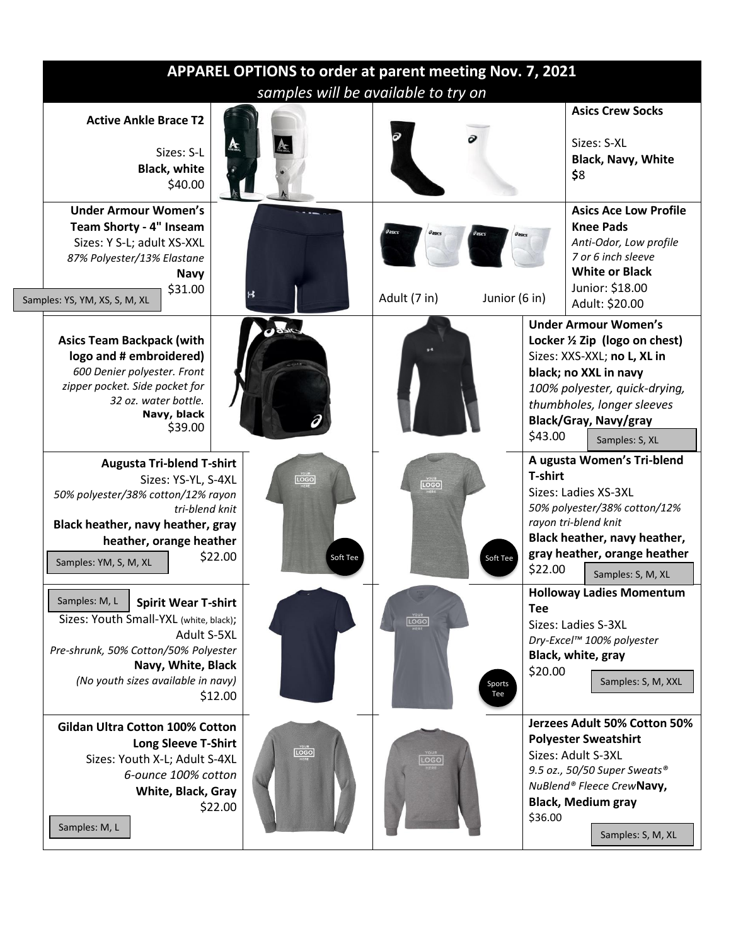|                                                                                                                                                                                                                                                                   |                          | APPAREL OPTIONS to order at parent meeting Nov. 7, 2021<br>samples will be available to try on |                                                                                                                                                                                                                                            |
|-------------------------------------------------------------------------------------------------------------------------------------------------------------------------------------------------------------------------------------------------------------------|--------------------------|------------------------------------------------------------------------------------------------|--------------------------------------------------------------------------------------------------------------------------------------------------------------------------------------------------------------------------------------------|
| <b>Active Ankle Brace T2</b><br>Sizes: S-L<br><b>Black, white</b><br>\$40.00                                                                                                                                                                                      |                          |                                                                                                | <b>Asics Crew Socks</b><br>Sizes: S-XL<br><b>Black, Navy, White</b><br>\$8                                                                                                                                                                 |
| <b>Under Armour Women's</b><br>Team Shorty - 4" Inseam<br>Sizes: Y S-L; adult XS-XXL<br>87% Polyester/13% Elastane<br><b>Navy</b><br>\$31.00<br>Samples: YS, YM, XS, S, M, XL                                                                                     | $\boldsymbol{\mu}$       | Adult (7 in)<br>Junior (6 in)                                                                  | <b>Asics Ace Low Profile</b><br><b>Knee Pads</b><br>Anti-Odor, Low profile<br>7 or 6 inch sleeve<br><b>White or Black</b><br>Junior: \$18.00<br>Adult: \$20.00                                                                             |
| <b>Asics Team Backpack (with</b><br>logo and # embroidered)<br>600 Denier polyester. Front<br>zipper pocket. Side pocket for<br>32 oz. water bottle.<br>Navy, black<br>\$39.00                                                                                    |                          |                                                                                                | <b>Under Armour Women's</b><br>Locker 1/2 Zip (logo on chest)<br>Sizes: XXS-XXL; no L, XL in<br>black; no XXL in navy<br>100% polyester, quick-drying,<br>thumbholes, longer sleeves<br>Black/Gray, Navy/gray<br>\$43.00<br>Samples: S, XL |
| <b>Augusta Tri-blend T-shirt</b><br>$L^{\text{OGB}}_{\text{MERE}}$<br>Sizes: YS-YL, S-4XL<br>50% polyester/38% cotton/12% rayon<br>tri-blend knit<br>Black heather, navy heather, gray<br>heather, orange heather<br>\$22.00<br>Soft Tee<br>Samples: YM, S, M, XL |                          | <b>LOGO</b><br>Soft Tee                                                                        | A ugusta Women's Tri-blend<br><b>T-shirt</b><br>Sizes: Ladies XS-3XL<br>50% polyester/38% cotton/12%<br>rayon tri-blend knit<br>Black heather, navy heather,<br>gray heather, orange heather<br>\$22.00<br>Samples: S, M, XL               |
| Samples: M, L<br><b>Spirit Wear T-shirt</b><br>Sizes: Youth Small-YXL (white, black);<br>Adult S-5XL<br>Pre-shrunk, 50% Cotton/50% Polyester<br>Navy, White, Black<br>(No youth sizes available in navy)<br>\$12.00                                               |                          | $\boxed{\text{LOGO}}_{\text{MERE}}$<br>Sports<br>Tee                                           | Holloway Ladies Momentum<br><b>Tee</b><br>Sizes: Ladies S-3XL<br>Dry-Excel™ 100% polyester<br>Black, white, gray<br>\$20.00<br>Samples: S, M, XXL                                                                                          |
| <b>Gildan Ultra Cotton 100% Cotton</b><br><b>Long Sleeve T-Shirt</b><br>Sizes: Youth X-L; Adult S-4XL<br>6-ounce 100% cotton<br>White, Black, Gray<br>\$22.00<br>Samples: M, L                                                                                    | $\overline{\text{LOGO}}$ | <b>LOGO</b>                                                                                    | Jerzees Adult 50% Cotton 50%<br><b>Polyester Sweatshirt</b><br>Sizes: Adult S-3XL<br>9.5 oz., 50/50 Super Sweats®<br>NuBlend® Fleece CrewNavy,<br><b>Black, Medium gray</b><br>\$36.00<br>Samples: S, M, XL                                |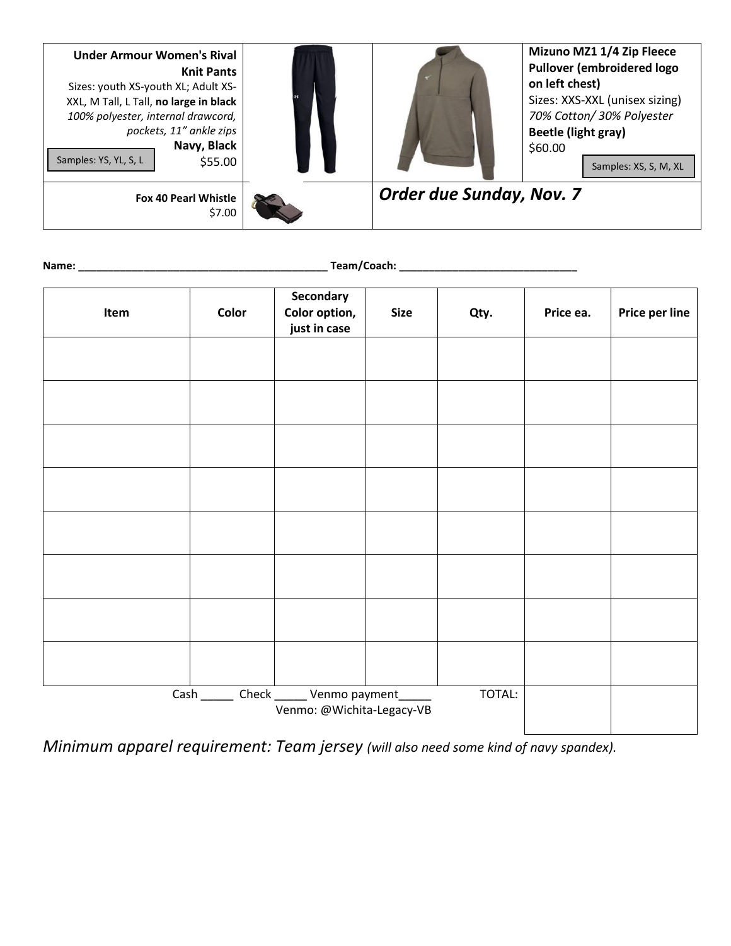| <b>Under Armour Women's Rival</b><br><b>Knit Pants</b><br>Sizes: youth XS-youth XL; Adult XS-<br>XXL, M Tall, L Tall, no large in black<br>100% polyester, internal drawcord,<br>pockets, 11" ankle zips<br>Navy, Black<br>Samples: YS, YL, S, L<br>\$55.00 |                                 | Mizuno MZ1 1/4 Zip Fleece<br><b>Pullover (embroidered logo)</b><br>on left chest)<br>Sizes: XXS-XXL (unisex sizing)<br>70% Cotton/ 30% Polyester<br><b>Beetle (light gray)</b><br>\$60.00<br>Samples: XS, S, M, XL |
|-------------------------------------------------------------------------------------------------------------------------------------------------------------------------------------------------------------------------------------------------------------|---------------------------------|--------------------------------------------------------------------------------------------------------------------------------------------------------------------------------------------------------------------|
| <b>Fox 40 Pearl Whistle</b><br>\$7.00                                                                                                                                                                                                                       | <b>Order due Sunday, Nov. 7</b> |                                                                                                                                                                                                                    |

| I<br>н |  |
|--------|--|
| ٧<br>٠ |  |

**Name: \_\_\_\_\_\_\_\_\_\_\_\_\_\_\_\_\_\_\_\_\_\_\_\_\_\_\_\_\_\_\_\_\_\_\_\_\_\_\_\_\_\_ Team/Coach: \_\_\_\_\_\_\_\_\_\_\_\_\_\_\_\_\_\_\_\_\_\_\_\_\_\_\_\_\_\_**

| Item | Color | Secondary<br>Color option,<br>just in case                            | <b>Size</b> | Qty.   | Price ea. | Price per line |
|------|-------|-----------------------------------------------------------------------|-------------|--------|-----------|----------------|
|      |       |                                                                       |             |        |           |                |
|      |       |                                                                       |             |        |           |                |
|      |       |                                                                       |             |        |           |                |
|      |       |                                                                       |             |        |           |                |
|      |       |                                                                       |             |        |           |                |
|      |       |                                                                       |             |        |           |                |
|      |       |                                                                       |             |        |           |                |
|      |       |                                                                       |             |        |           |                |
|      |       | Cash _______ Check ______ Venmo payment_<br>Venmo: @Wichita-Legacy-VB |             | TOTAL: |           |                |

*Minimum apparel requirement: Team jersey (will also need some kind of navy spandex).*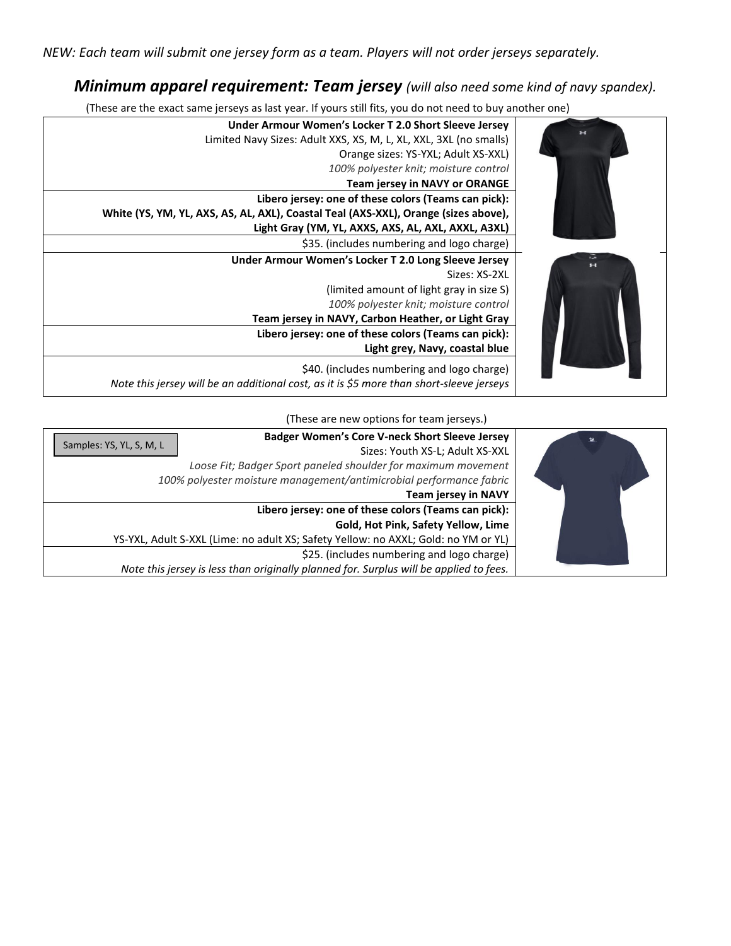## *Minimum apparel requirement: Team jersey (will also need some kind of navy spandex).*

(These are the exact same jerseys as last year. If yours still fits, you do not need to buy another one)



(These are new options for team jerseys.)

|                          | <b>Badger Women's Core V-neck Short Sleeve Jersey</b>                                  | 显 |
|--------------------------|----------------------------------------------------------------------------------------|---|
| Samples: YS, YL, S, M, L | Sizes: Youth XS-L; Adult XS-XXL                                                        |   |
|                          | Loose Fit; Badger Sport paneled shoulder for maximum movement                          |   |
|                          | 100% polyester moisture management/antimicrobial performance fabric                    |   |
|                          | <b>Team jersey in NAVY</b>                                                             |   |
|                          | Libero jersey: one of these colors (Teams can pick):                                   |   |
|                          | Gold, Hot Pink, Safety Yellow, Lime                                                    |   |
|                          | YS-YXL, Adult S-XXL (Lime: no adult XS; Safety Yellow: no AXXL; Gold: no YM or YL)     |   |
|                          | \$25. (includes numbering and logo charge)                                             |   |
|                          | Note this jersey is less than originally planned for. Surplus will be applied to fees. |   |